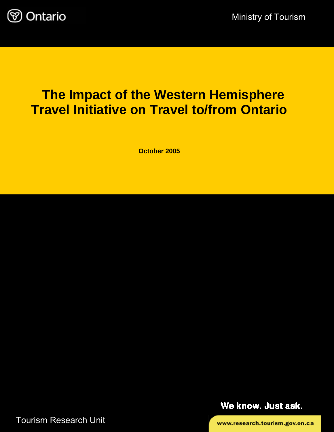

# **The Impact of the Western Hemisphere Travel Initiative on Travel to/from Ontario**

**October 2005** 

We know. Just ask.

Tourism Research Unit

www.research.tourism.gov.on.ca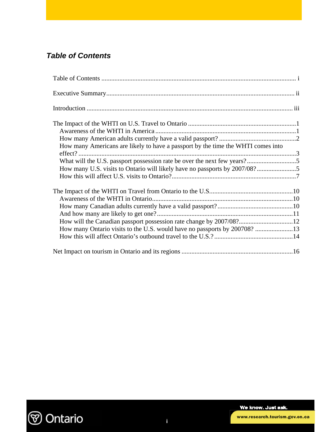## *Table of Contents*

| How many Americans are likely to have a passport by the time the WHTI comes into |  |
|----------------------------------------------------------------------------------|--|
|                                                                                  |  |
|                                                                                  |  |
|                                                                                  |  |
|                                                                                  |  |
|                                                                                  |  |
|                                                                                  |  |
|                                                                                  |  |
| How will the Canadian passport possession rate change by 2007/08?12              |  |
| How many Ontario visits to the U.S. would have no passports by 200708? 13        |  |
|                                                                                  |  |
|                                                                                  |  |

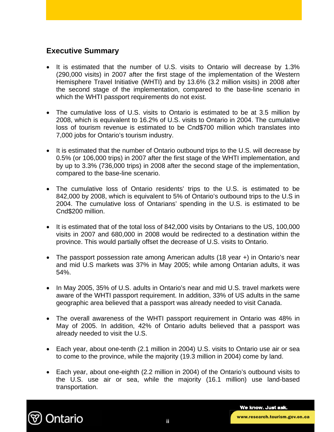## **Executive Summary**

- It is estimated that the number of U.S. visits to Ontario will decrease by 1.3% (290,000 visits) in 2007 after the first stage of the implementation of the Western Hemisphere Travel Initiative (WHTI) and by 13.6% (3.2 million visits) in 2008 after the second stage of the implementation, compared to the base-line scenario in which the WHTI passport requirements do not exist.
- The cumulative loss of U.S. visits to Ontario is estimated to be at 3.5 million by 2008, which is equivalent to 16.2% of U.S. visits to Ontario in 2004. The cumulative loss of tourism revenue is estimated to be Cnd\$700 million which translates into 7,000 jobs for Ontario's tourism industry.
- It is estimated that the number of Ontario outbound trips to the U.S. will decrease by 0.5% (or 106,000 trips) in 2007 after the first stage of the WHTI implementation, and by up to 3.3% (736,000 trips) in 2008 after the second stage of the implementation, compared to the base-line scenario.
- The cumulative loss of Ontario residents' trips to the U.S. is estimated to be 842,000 by 2008, which is equivalent to 5% of Ontario's outbound trips to the U.S in 2004. The cumulative loss of Ontarians' spending in the U.S. is estimated to be Cnd\$200 million.
- It is estimated that of the total loss of 842,000 visits by Ontarians to the US, 100,000 visits in 2007 and 680,000 in 2008 would be redirected to a destination within the province. This would partially offset the decrease of U.S. visits to Ontario.
- The passport possession rate among American adults (18 year +) in Ontario's near and mid U.S markets was 37% in May 2005; while among Ontarian adults, it was 54%.
- In May 2005, 35% of U.S. adults in Ontario's near and mid U.S. travel markets were aware of the WHTI passport requirement. In addition, 33% of US adults in the same geographic area believed that a passport was already needed to visit Canada.
- The overall awareness of the WHTI passport requirement in Ontario was 48% in May of 2005. In addition, 42% of Ontario adults believed that a passport was already needed to visit the U.S.
- Each year, about one-tenth (2.1 million in 2004) U.S. visits to Ontario use air or sea to come to the province, while the majority (19.3 million in 2004) come by land.
- Each year, about one-eighth (2.2 million in 2004) of the Ontario's outbound visits to the U.S. use air or sea, while the majority (16.1 million) use land-based transportation.

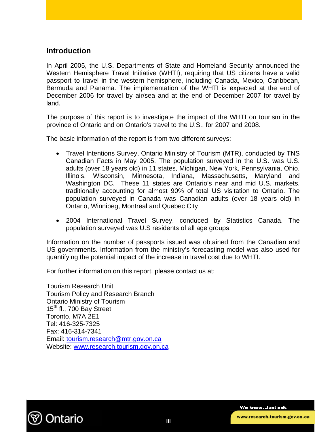## **Introduction**

In April 2005, the U.S. Departments of State and Homeland Security announced the Western Hemisphere Travel Initiative (WHTI), requiring that US citizens have a valid passport to travel in the western hemisphere, including Canada, Mexico, Caribbean, Bermuda and Panama. The implementation of the WHTI is expected at the end of December 2006 for travel by air/sea and at the end of December 2007 for travel by land.

The purpose of this report is to investigate the impact of the WHTI on tourism in the province of Ontario and on Ontario's travel to the U.S., for 2007 and 2008.

The basic information of the report is from two different surveys:

- Travel Intentions Survey, Ontario Ministry of Tourism (MTR), conducted by TNS Canadian Facts in May 2005. The population surveyed in the U.S. was U.S. adults (over 18 years old) in 11 states, Michigan, New York, Pennsylvania, Ohio, Illinois, Wisconsin, Minnesota, Indiana, Massachusetts, Maryland and Washington DC. These 11 states are Ontario's near and mid U.S. markets, traditionally accounting for almost 90% of total US visitation to Ontario. The population surveyed in Canada was Canadian adults (over 18 years old) in Ontario, Winnipeg, Montreal and Quebec City
- 2004 International Travel Survey, conduced by Statistics Canada. The population surveyed was U.S residents of all age groups.

Information on the number of passports issued was obtained from the Canadian and US governments. Information from the ministry's forecasting model was also used for quantifying the potential impact of the increase in travel cost due to WHTI.

For further information on this report, please contact us at:

Tourism Research Unit Tourism Policy and Research Branch Ontario Ministry of Tourism  $15<sup>th</sup>$  fl., 700 Bay Street Toronto, M7A 2E1 Tel: 416-325-7325 Fax: 416-314-7341 Email: tourism.research@mtr.gov.on.ca Website: www.research.tourism.gov.on.ca

Ontario

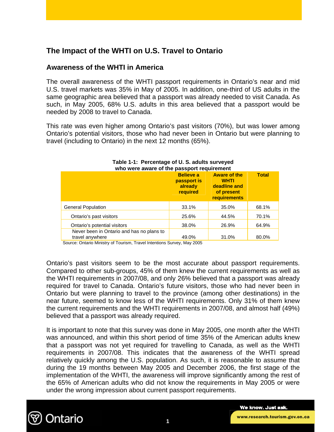## **The Impact of the WHTI on U.S. Travel to Ontario**

## **Awareness of the WHTI in America**

The overall awareness of the WHTI passport requirements in Ontario's near and mid U.S. travel markets was 35% in May of 2005. In addition, one-third of US adults in the same geographic area believed that a passport was already needed to visit Canada. As such, in May 2005, 68% U.S. adults in this area believed that a passport would be needed by 2008 to travel to Canada.

This rate was even higher among Ontario's past visitors (70%), but was lower among Ontario's potential visitors, those who had never been in Ontario but were planning to travel (including to Ontario) in the next 12 months (65%).

| 11110 11010 and 0 01 the pacepoil requirement                |                                                        |                                                                                         |              |  |  |  |  |
|--------------------------------------------------------------|--------------------------------------------------------|-----------------------------------------------------------------------------------------|--------------|--|--|--|--|
|                                                              | <b>Believe a</b><br>passport is<br>already<br>required | <b>Aware of the</b><br><b>WHTI</b><br>deadline and<br>of present<br><b>requirements</b> | <b>Total</b> |  |  |  |  |
| <b>General Population</b>                                    | 33.1%                                                  | 35.0%                                                                                   | 68.1%        |  |  |  |  |
| Ontario's past visitors                                      | 25.6%                                                  | 44.5%                                                                                   | 70.1%        |  |  |  |  |
| Ontario's potential visitors                                 | 38.0%                                                  | 26.9%                                                                                   | 64.9%        |  |  |  |  |
| Never been in Ontario and has no plans to<br>travel anywhere | 49.0%                                                  | 31.0%                                                                                   | 80.0%        |  |  |  |  |

#### **Table 1-1: Percentage of U. S. adults surveyed who were aware of the passport requirement**

Source: Ontario Ministry of Tourism, Travel Intentions Survey, May <sup>2005</sup>

Ontario's past visitors seem to be the most accurate about passport requirements. Compared to other sub-groups, 45% of them knew the current requirements as well as the WHTI requirements in 2007/08, and only 26% believed that a passport was already required for travel to Canada. Ontario's future visitors, those who had never been in Ontario but were planning to travel to the province (among other destinations) in the near future, seemed to know less of the WHTI requirements. Only 31% of them knew the current requirements and the WHTI requirements in 2007/08, and almost half (49%) believed that a passport was already required.

It is important to note that this survey was done in May 2005, one month after the WHTI was announced, and within this short period of time 35% of the American adults knew that a passport was not yet required for travelling to Canada, as well as the WHTI requirements in 2007/08. This indicates that the awareness of the WHTI spread relatively quickly among the U.S. population. As such, it is reasonable to assume that during the 19 months between May 2005 and December 2006, the first stage of the implementation of the WHTI, the awareness will improve significantly among the rest of the 65% of American adults who did not know the requirements in May 2005 or were under the wrong impression about current passport requirements.

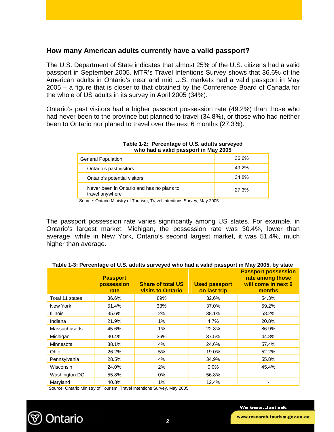## **How many American adults currently have a valid passport?**

The U.S. Department of State indicates that almost 25% of the U.S. citizens had a valid passport in September 2005. MTR's Travel Intentions Survey shows that 36.6% of the American adults in Ontario's near and mid U.S. markets had a valid passport in May 2005 – a figure that is closer to that obtained by the Conference Board of Canada for the whole of US adults in its survey in April 2005 (34%).

Ontario's past visitors had a higher passport possession rate (49.2%) than those who had never been to the province but planned to travel (34.8%), or those who had neither been to Ontario nor planed to travel over the next 6 months (27.3%).

| <b>General Population</b>                                    | 36.6% |
|--------------------------------------------------------------|-------|
| Ontario's past visitors                                      | 49.2% |
| Ontario's potential visitors                                 | 34.8% |
| Never been in Ontario and has no plans to<br>travel anywhere | 27.3% |

#### **Table 1-2: Percentage of U.S. adults surveyed who had a valid passport in May 2005**

Source: Ontario Ministry of Tourism, Travel Intentions Survey, May 2005

The passport possession rate varies significantly among US states. For example, in Ontario's largest market, Michigan, the possession rate was 30.4%, lower than average, while in New York, Ontario's second largest market, it was 51.4%, much higher than average.

|                      | <b>Passport</b><br>possession<br>rate | <b>Share of total US</b><br><b>visits to Ontario</b> | <b>Used passport</b><br>on last trip | <b>Passport possession</b><br>rate among those<br>will come in next 6<br>months |
|----------------------|---------------------------------------|------------------------------------------------------|--------------------------------------|---------------------------------------------------------------------------------|
| Total 11 states      | 36.6%                                 | 89%                                                  | 32.6%                                | 54.3%                                                                           |
| New York             | 51.4%                                 | 33%                                                  | 37.0%                                | 59.2%                                                                           |
| <b>Illinois</b>      | 35.6%                                 | 2%                                                   | 38.1%                                | 58.2%                                                                           |
| Indiana              | 21.9%                                 | 1%                                                   | 4.7%                                 | 20.8%                                                                           |
| <b>Massachusetts</b> | 45.6%                                 | 1%                                                   | 22.8%                                | 86.9%                                                                           |
| Michigan             | 30.4%                                 | 36%                                                  | 37.5%                                | 44.8%                                                                           |
| Minnesota            | 38.1%                                 | 4%                                                   | 24.6%                                | 57.4%                                                                           |
| Ohio                 | 26.2%                                 | 5%                                                   | 19.0%                                | 52.2%                                                                           |
| Pennsylvania         | 28.5%                                 | 4%                                                   | 34.9%                                | 55.8%                                                                           |
| Wisconsin            | 24.0%                                 | 2%                                                   | 0.0%                                 | 45.4%                                                                           |
| Washington DC        | 55.8%                                 | $0\%$                                                | 56.8%                                | ٠                                                                               |
| Maryland             | 40.8%                                 | 1%                                                   | 12.4%                                |                                                                                 |

#### **Table 1-3: Percentage of U.S. adults surveyed who had a valid passport in May 2005, by state**

Source: Ontario Ministry of Tourism, Travel Intentions Survey, May 2005

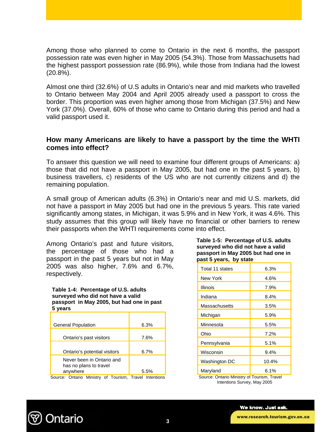Among those who planned to come to Ontario in the next 6 months, the passport possession rate was even higher in May 2005 (54.3%). Those from Massachusetts had the highest passport possession rate (86.9%), while those from Indiana had the lowest (20.8%).

Almost one third (32.6%) of U.S adults in Ontario's near and mid markets who travelled to Ontario between May 2004 and April 2005 already used a passport to cross the border. This proportion was even higher among those from Michigan (37.5%) and New York (37.0%). Overall, 60% of those who came to Ontario during this period and had a valid passport used it.

#### **How many Americans are likely to have a passport by the time the WHTI comes into effect?**

To answer this question we will need to examine four different groups of Americans: a) those that did not have a passport in May 2005, but had one in the past 5 years, b) business travellers, c) residents of the US who are not currently citizens and d) the remaining population.

A small group of American adults (6.3%) in Ontario's near and mid U.S. markets, did not have a passport in May 2005 but had one in the previous 5 years. This rate varied significantly among states, in Michigan, it was 5.9% and in New York, it was 4.6%. This study assumes that this group will likely have no financial or other barriers to renew their passports when the WHTI requirements come into effect.

Among Ontario's past and future visitors, the percentage of those who had a passport in the past 5 years but not in May 2005 was also higher, 7.6% and 6.7%, respectively.

 **Table 1-4: Percentage of U.S. adults surveyed who did not have a valid passport in May 2005, but had one in past 5 years** 

| <b>General Population</b>                                       | 6.3% |
|-----------------------------------------------------------------|------|
| Ontario's past visitors                                         | 7.6% |
| Ontario's potential visitors                                    | 6.7% |
| Never been in Ontario and<br>has no plans to travel<br>anywhere | 5.5% |
|                                                                 |      |

Source: Ontario Ministry of Tourism, Travel Intentions

#### **Table 1-5: Percentage of U.S. adults surveyed who did not have a valid passport in May 2005 but had one in past 5 years, by state**

| Total 11 states | 6.3%    |
|-----------------|---------|
| New York        | 4.6%    |
| Illinois        | 7.9%    |
| Indiana         | 8.4%    |
| Massachusetts   | 3.5%    |
| Michigan        | 5.9%    |
| Minnesota       | 5.5%    |
| Ohio            | 7.2%    |
| Pennsylvania    | 5.1%    |
| Wisconsin       | $9.4\%$ |
| Washington DC   | 10.4%   |
| Maryland        | 6.1%    |

 Source: Ontario Ministry of Tourism, Travel Intentions Survey, May 2005

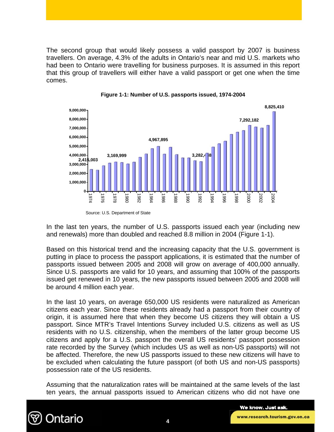The second group that would likely possess a valid passport by 2007 is business travellers. On average, 4.3% of the adults in Ontario's near and mid U.S. markets who had been to Ontario were travelling for business purposes. It is assumed in this report that this group of travellers will either have a valid passport or get one when the time comes.





In the last ten years, the number of U.S. passports issued each year (including new and renewals) more than doubled and reached 8.8 million in 2004 (Figure 1-1).

Based on this historical trend and the increasing capacity that the U.S. government is putting in place to process the passport applications, it is estimated that the number of passports issued between 2005 and 2008 will grow on average of 400,000 annually. Since U.S. passports are valid for 10 years, and assuming that 100% of the passports issued get renewed in 10 years, the new passports issued between 2005 and 2008 will be around 4 million each year.

In the last 10 years, on average 650,000 US residents were naturalized as American citizens each year. Since these residents already had a passport from their country of origin, it is assumed here that when they become US citizens they will obtain a US passport. Since MTR's Travel Intentions Survey included U.S. citizens as well as US residents with no U.S. citizenship, when the members of the latter group become US citizens and apply for a U.S. passport the overall US residents' passport possession rate recorded by the Survey (which includes US as well as non-US passports) will not be affected. Therefore, the new US passports issued to these new citizens will have to be excluded when calculating the future passport (of both US and non-US passports) possession rate of the US residents.

Assuming that the naturalization rates will be maintained at the same levels of the last ten years, the annual passports issued to American citizens who did not have one

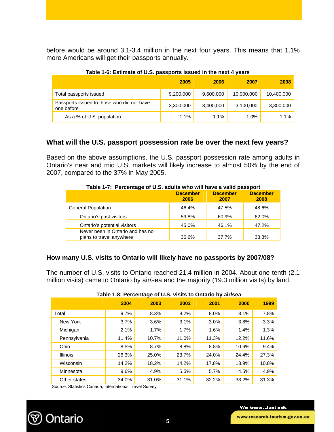before would be around 3.1-3.4 million in the next four years. This means that 1.1% more Americans will get their passports annually.

|                                                          | 2005      | 2006      | 2007       | 2008       |
|----------------------------------------------------------|-----------|-----------|------------|------------|
| Total passports issued                                   | 9,200,000 | 9,600,000 | 10,000,000 | 10,400,000 |
| Passports issued to those who did not have<br>one before | 3,300,000 | 3,400,000 | 3,100,000  | 3,300,000  |
| As a % of U.S. population                                | 1.1%      | $1.1\%$   | $1.0\%$    | 1.1%       |

#### **Table 1-6: Estimate of U.S. passports issued in the next 4 years**

#### **What will the U.S. passport possession rate be over the next few years?**

Based on the above assumptions, the U.S. passport possession rate among adults in Ontario's near and mid U.S. markets will likely increase to almost 50% by the end of 2007, compared to the 37% in May 2005.

|                                                              | <b>December</b><br>2006 | <b>December</b><br>2007 | <b>December</b><br>2008 |
|--------------------------------------------------------------|-------------------------|-------------------------|-------------------------|
| <b>General Population</b>                                    | 46.4%                   | 47.5%                   | 48.6%                   |
| Ontario's past visitors                                      | 59.8%                   | 60.9%                   | 62.0%                   |
| Ontario's potential visitors                                 | 45.0%                   | 46.1%                   | 47.2%                   |
| Never been in Ontario and has no<br>plans to travel anywhere | 36.6%                   | 37.7%                   | 38.8%                   |

#### **Table 1-7: Percentage of U.S. adults who will have a valid passport**

#### **How many U.S. visits to Ontario will likely have no passports by 2007/08?**

The number of U.S. visits to Ontario reached 21.4 million in 2004. About one-tenth (2.1 million visits) came to Ontario by air/sea and the majority (19.3 million visits) by land.

| <b>Table 170. I Credinage Or 0.0. Visits to Officito by allised</b> |       |       |       |       |       |       |
|---------------------------------------------------------------------|-------|-------|-------|-------|-------|-------|
|                                                                     | 2004  | 2003  | 2002  | 2001  | 2000  | 1999  |
| Total                                                               | 9.7%  | 8.3%  | 8.2%  | 8.0%  | 8.1%  | 7.8%  |
| New York                                                            | 3.7%  | 3.6%  | 3.1%  | 3.0%  | 3.8%  | 3.3%  |
| Michigan                                                            | 2.1%  | 1.7%  | 1.7%  | 1.6%  | 1.4%  | 1.3%  |
| Pennsylvania                                                        | 11.4% | 10.7% | 11.0% | 11.3% | 12.2% | 11.6% |
| Ohio                                                                | 8.5%  | 8.7%  | 8.8%  | 8.8%  | 10.6% | 9.4%  |
| <b>Illinois</b>                                                     | 26.3% | 25.0% | 23.7% | 24.0% | 24.4% | 27.3% |
| Wisconsin                                                           | 14.2% | 18.2% | 14.2% | 17.8% | 13.9% | 10.8% |
| Minnesota                                                           | 9.6%  | 4.9%  | 5.5%  | 5.7%  | 4.5%  | 4.9%  |
| Other states                                                        | 34.0% | 31.0% | 31.1% | 32.2% | 33.2% | 31.3% |

#### **Table 1-8: Percentage of U.S. visits to Ontario by air/sea**

Source: Statistics Canada, International Travel Survey

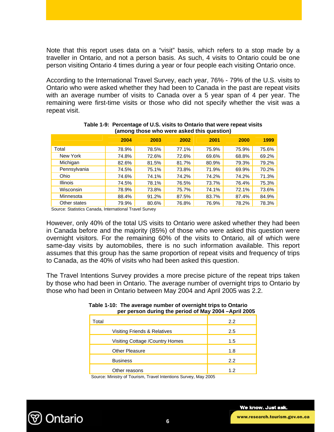Note that this report uses data on a "visit" basis, which refers to a stop made by a traveller in Ontario, and not a person basis. As such, 4 visits to Ontario could be one person visiting Ontario 4 times during a year or four people each visiting Ontario once.

According to the International Travel Survey, each year, 76% - 79% of the U.S. visits to Ontario who were asked whether they had been to Canada in the past are repeat visits with an average number of visits to Canada over a 5 year span of 4 per year. The remaining were first-time visits or those who did not specify whether the visit was a repeat visit.

|                 | ------ |       |       |       |       |       |
|-----------------|--------|-------|-------|-------|-------|-------|
|                 | 2004   | 2003  | 2002  | 2001  | 2000  | 1999  |
| Total           | 78.9%  | 78.5% | 77.1% | 75.9% | 75.9% | 75.6% |
| New York        | 74.8%  | 72.6% | 72.6% | 69.6% | 68.8% | 69.2% |
| Michigan        | 82.6%  | 81.5% | 81.7% | 80.9% | 79.3% | 79.2% |
| Pennsylvania    | 74.5%  | 75.1% | 73.8% | 71.9% | 69.9% | 70.2% |
| Ohio            | 74.6%  | 74.1% | 74.2% | 74.2% | 74.2% | 71.3% |
| <b>Illinois</b> | 74.5%  | 78.1% | 76.5% | 73.7% | 76.4% | 75.3% |
| Wisconsin       | 78.9%  | 73.8% | 75.7% | 74.1% | 72.1% | 73.6% |
| Minnesota       | 88.4%  | 91.2% | 87.5% | 83.7% | 87.4% | 84.9% |
| Other states    | 79.9%  | 80.6% | 76.8% | 76.9% | 78.2% | 78.3% |

#### **Table 1-9: Percentage of U.S. visits to Ontario that were repeat visits (among those who were asked this question)**

Source: Statistics Canada, International Travel Survey

However, only 40% of the total US visits to Ontario were asked whether they had been in Canada before and the majority (85%) of those who were asked this question were overnight visitors. For the remaining 60% of the visits to Ontario, all of which were same-day visits by automobiles, there is no such information available. This report assumes that this group has the same proportion of repeat visits and frequency of trips to Canada, as the 40% of visits who had been asked this question.

The Travel Intentions Survey provides a more precise picture of the repeat trips taken by those who had been in Ontario. The average number of overnight trips to Ontario by those who had been in Ontario between May 2004 and April 2005 was 2.2.

| per person during the period of May 2004 – April 2005 |     |
|-------------------------------------------------------|-----|
| Total                                                 | 2.2 |
| Visiting Friends & Relatives                          | 2.5 |
| Visiting Cottage / Country Homes                      | 1.5 |
| <b>Other Pleasure</b>                                 | 1.8 |
| <b>Business</b>                                       | 2.2 |
| Other reasons                                         | 1.2 |

#### **Table 1-10: The average number of overnight trips to Ontario per person during the period of May 2004 –April 2005**

Source: Ministry of Tourism, Travel Intentions Survey, May 2005

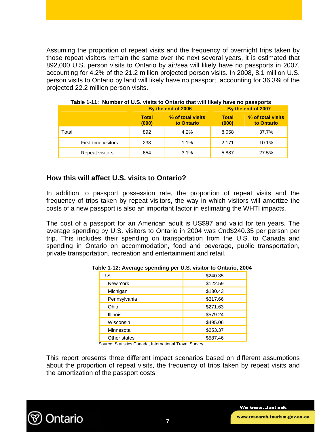Assuming the proportion of repeat visits and the frequency of overnight trips taken by those repeat visitors remain the same over the next several years, it is estimated that 892,000 U.S. person visits to Ontario by air/sea will likely have no passports in 2007, accounting for 4.2% of the 21.2 million projected person visits. In 2008, 8.1 million U.S. person visits to Ontario by land will likely have no passport, accounting for 36.3% of the projected 22.2 million person visits.

|                     |                       | By the end of 2006              | By the end of 2007    |                                 |  |
|---------------------|-----------------------|---------------------------------|-----------------------|---------------------------------|--|
|                     | <b>Total</b><br>(000) | % of total visits<br>to Ontario | <b>Total</b><br>(000) | % of total visits<br>to Ontario |  |
| Total               | 892                   | 4.2%                            | 8,058                 | 37.7%                           |  |
| First-time visitors | 238                   | 1.1%                            | 2.171                 | 10.1%                           |  |
| Repeat visitors     | 654                   | 3.1%                            | 5,887                 | 27.5%                           |  |

| Table 1-11: Number of U.S. visits to Ontario that will likely have no passports |  |  |
|---------------------------------------------------------------------------------|--|--|
|---------------------------------------------------------------------------------|--|--|

## **How this will affect U.S. visits to Ontario?**

In addition to passport possession rate, the proportion of repeat visits and the frequency of trips taken by repeat visitors, the way in which visitors will amortize the costs of a new passport is also an important factor in estimating the WHTI impacts.

The cost of a passport for an American adult is US\$97 and valid for ten years. The average spending by U.S. visitors to Ontario in 2004 was Cnd\$240.35 per person per trip. This includes their spending on transportation from the U.S. to Canada and spending in Ontario on accommodation, food and beverage, public transportation, private transportation, recreation and entertainment and retail.

| U.S.            | \$240.35 |
|-----------------|----------|
| New York        | \$122.59 |
| Michigan        | \$130.43 |
| Pennsylvania    | \$317.66 |
| Ohio            | \$271.63 |
| <b>Illinois</b> | \$579.24 |
| Wisconsin       | \$495.06 |
| Minnesota       | \$253.37 |
| Other states    | \$587.46 |

| Table 1-12: Average spending per U.S. visitor to Ontario, 2004 |
|----------------------------------------------------------------|
|----------------------------------------------------------------|

Source: Statistics Canada, International Travel Survey.

This report presents three different impact scenarios based on different assumptions about the proportion of repeat visits, the frequency of trips taken by repeat visits and the amortization of the passport costs.

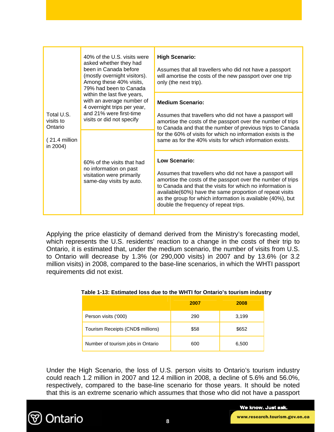| 40% of the U.S. visits were<br>asked whether they had<br>been in Canada before<br>(mostly overnight visitors).<br>Among these 40% visits,<br>79% had been to Canada<br>within the last five years,<br>with an average number of<br>4 overnight trips per year,<br>and 21% were first-time<br>Total U.S.<br>visits or did not specify<br>visits to<br>Ontario<br>(21.4 million<br>in 2004) | <b>High Scenario:</b><br>Assumes that all travellers who did not have a passport<br>will amortise the costs of the new passport over one trip<br>only (the next trip).                                                                                                                                                                      |                                                                                                                                                                                                                                                                                                                                                                          |
|-------------------------------------------------------------------------------------------------------------------------------------------------------------------------------------------------------------------------------------------------------------------------------------------------------------------------------------------------------------------------------------------|---------------------------------------------------------------------------------------------------------------------------------------------------------------------------------------------------------------------------------------------------------------------------------------------------------------------------------------------|--------------------------------------------------------------------------------------------------------------------------------------------------------------------------------------------------------------------------------------------------------------------------------------------------------------------------------------------------------------------------|
|                                                                                                                                                                                                                                                                                                                                                                                           | <b>Medium Scenario:</b><br>Assumes that travellers who did not have a passport will<br>amortise the costs of the passport over the number of trips<br>to Canada and that the number of previous trips to Canada<br>for the 60% of visits for which no information exists is the<br>same as for the 40% visits for which information exists. |                                                                                                                                                                                                                                                                                                                                                                          |
|                                                                                                                                                                                                                                                                                                                                                                                           | 60% of the visits that had<br>no information on past<br>visitation were primarily<br>same-day visits by auto.                                                                                                                                                                                                                               | Low Scenario:<br>Assumes that travellers who did not have a passport will<br>amortise the costs of the passport over the number of trips<br>to Canada and that the visits for which no information is<br>available(60%) have the same proportion of repeat visits<br>as the group for which information is available (40%), but<br>double the frequency of repeat trips. |

Applying the price elasticity of demand derived from the Ministry's forecasting model, which represents the U.S. residents' reaction to a change in the costs of their trip to Ontario, it is estimated that, under the medium scenario, the number of visits from U.S. to Ontario will decrease by 1.3% (or 290,000 visits) in 2007 and by 13.6% (or 3.2 million visits) in 2008, compared to the base-line scenarios, in which the WHTI passport requirements did not exist.

|                                   | 2007 | 2008  |
|-----------------------------------|------|-------|
| Person visits ('000)              | 290  | 3,199 |
| Tourism Receipts (CND\$ millions) | \$58 | \$652 |
| Number of tourism jobs in Ontario | 600  | 6,500 |

#### **Table 1-13: Estimated loss due to the WHTI for Ontario's tourism industry**

Under the High Scenario, the loss of U.S. person visits to Ontario's tourism industry could reach 1.2 million in 2007 and 12.4 million in 2008, a decline of 5.6% and 56.0%, respectively, compared to the base-line scenario for those years. It should be noted that this is an extreme scenario which assumes that those who did not have a passport

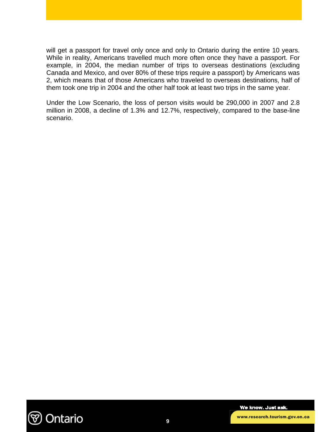will get a passport for travel only once and only to Ontario during the entire 10 years. While in reality, Americans travelled much more often once they have a passport. For example, in 2004, the median number of trips to overseas destinations (excluding Canada and Mexico, and over 80% of these trips require a passport) by Americans was 2, which means that of those Americans who traveled to overseas destinations, half of them took one trip in 2004 and the other half took at least two trips in the same year.

Under the Low Scenario, the loss of person visits would be 290,000 in 2007 and 2.8 million in 2008, a decline of 1.3% and 12.7%, respectively, compared to the base-line scenario.

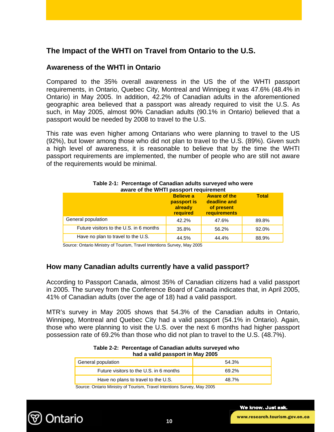## **The Impact of the WHTI on Travel from Ontario to the U.S.**

## **Awareness of the WHTI in Ontario**

Compared to the 35% overall awareness in the US the of the WHTI passport requirements, in Ontario, Quebec City, Montreal and Winnipeg it was 47.6% (48.4% in Ontario) in May 2005. In addition, 42.2% of Canadian adults in the aforementioned geographic area believed that a passport was already required to visit the U.S. As such, in May 2005, almost 90% Canadian adults (90.1% in Ontario) believed that a passport would be needed by 2008 to travel to the U.S.

This rate was even higher among Ontarians who were planning to travel to the US (92%), but lower among those who did not plan to travel to the U.S. (89%). Given such a high level of awareness, it is reasonable to believe that by the time the WHTI passport requirements are implemented, the number of people who are still not aware of the requirements would be minimal.

| aware or the writer passport requirement |                                                        |                                                                   |              |  |
|------------------------------------------|--------------------------------------------------------|-------------------------------------------------------------------|--------------|--|
|                                          | <b>Believe a</b><br>passport is<br>already<br>required | <b>Aware of the</b><br>deadline and<br>of present<br>requirements | <b>Total</b> |  |
| General population                       | 42.2%                                                  | 47.6%                                                             | 89.8%        |  |
| Future visitors to the U.S. in 6 months  | 35.8%                                                  | 56.2%                                                             | 92.0%        |  |
| Have no plan to travel to the U.S.       | 44.5%                                                  | 44.4%                                                             | 88.9%        |  |

#### **Table 2-1: Percentage of Canadian adults surveyed who were**  aware of the WHTI passport requirement

Source: Ontario Ministry of Tourism, Travel Intentions Survey, May <sup>2005</sup>

## **How many Canadian adults currently have a valid passport?**

According to Passport Canada, almost 35% of Canadian citizens had a valid passport in 2005. The survey from the Conference Board of Canada indicates that, in April 2005, 41% of Canadian adults (over the age of 18) had a valid passport.

MTR's survey in May 2005 shows that 54.3% of the Canadian adults in Ontario, Winnipeg, Montreal and Quebec City had a valid passport (54.1% in Ontario). Again, those who were planning to visit the U.S. over the next 6 months had higher passport possession rate of 69.2% than those who did not plan to travel to the U.S. (48.7%).

 **Table 2-2: Percentage of Canadian adults surveyed who had a valid passport in May 2005** 

| General population                      | 54.3% |
|-----------------------------------------|-------|
| Future visitors to the U.S. in 6 months | 69.2% |
| Have no plans to travel to the U.S.     | 48.7% |

Source: Ontario Ministry of Tourism, Travel Intentions Survey, May 2005

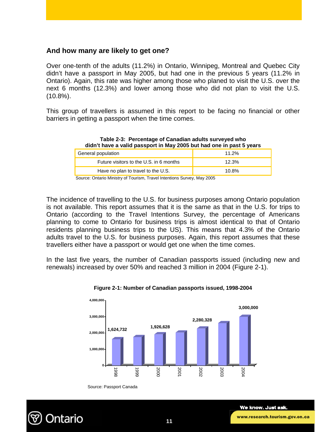## **And how many are likely to get one?**

Over one-tenth of the adults (11.2%) in Ontario, Winnipeg, Montreal and Quebec City didn't have a passport in May 2005, but had one in the previous 5 years (11.2% in Ontario). Again, this rate was higher among those who planed to visit the U.S. over the next 6 months (12.3%) and lower among those who did not plan to visit the U.S. (10.8%).

This group of travellers is assumed in this report to be facing no financial or other barriers in getting a passport when the time comes.

| didn't have a valid passport in May 2005 but had one in past 5 years |       |  |  |  |
|----------------------------------------------------------------------|-------|--|--|--|
| General population                                                   | 11.2% |  |  |  |
| Future visitors to the U.S. in 6 months                              | 12.3% |  |  |  |
| Have no plan to travel to the U.S.                                   | 10.8% |  |  |  |

# **Table 2-3: Percentage of Canadian adults surveyed who**

Source: Ontario Ministry of Tourism, Travel Intentions Survey, May 2005

The incidence of travelling to the U.S. for business purposes among Ontario population is not available. This report assumes that it is the same as that in the U.S. for trips to Ontario (according to the Travel Intentions Survey, the percentage of Americans planning to come to Ontario for business trips is almost identical to that of Ontario residents planning business trips to the US). This means that 4.3% of the Ontario adults travel to the U.S. for business purposes. Again, this report assumes that these travellers either have a passport or would get one when the time comes.

In the last five years, the number of Canadian passports issued (including new and renewals) increased by over 50% and reached 3 million in 2004 (Figure 2-1).



#### **Figure 2-1: Number of Canadian passports issued, 1998-2004**

Source: Passport Canada

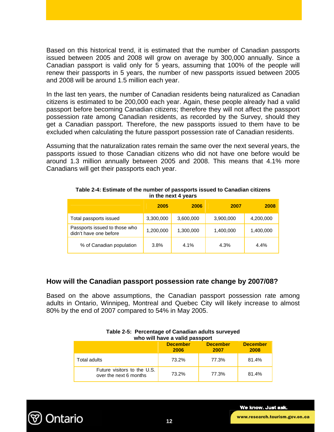Based on this historical trend, it is estimated that the number of Canadian passports issued between 2005 and 2008 will grow on average by 300,000 annually. Since a Canadian passport is valid only for 5 years, assuming that 100% of the people will renew their passports in 5 years, the number of new passports issued between 2005 and 2008 will be around 1.5 million each year.

In the last ten years, the number of Canadian residents being naturalized as Canadian citizens is estimated to be 200,000 each year. Again, these people already had a valid passport before becoming Canadian citizens; therefore they will not affect the passport possession rate among Canadian residents, as recorded by the Survey, should they get a Canadian passport. Therefore, the new passports issued to them have to be excluded when calculating the future passport possession rate of Canadian residents.

Assuming that the naturalization rates remain the same over the next several years, the passports issued to those Canadian citizens who did not have one before would be around 1.3 million annually between 2005 and 2008. This means that 4.1% more Canadians will get their passports each year.

|                                                         |           | $111$ GIG HOAL T yours |           |           |
|---------------------------------------------------------|-----------|------------------------|-----------|-----------|
|                                                         | 2005      | 2006                   | 2007      | 2008      |
| Total passports issued                                  | 3,300,000 | 3,600,000              | 3,900,000 | 4,200,000 |
| Passports issued to those who<br>didn't have one before | 1,200,000 | 1,300,000              | 1,400,000 | 1,400,000 |
| % of Canadian population                                | 3.8%      | 4.1%                   | 4.3%      | 4.4%      |

**Table 2-4: Estimate of the number of passports issued to Canadian citizens in the next 4 years** 

## **How will the Canadian passport possession rate change by 2007/08?**

Based on the above assumptions, the Canadian passport possession rate among adults in Ontario, Winnipeg, Montreal and Quebec City will likely increase to almost 80% by the end of 2007 compared to 54% in May 2005.

|                                                       | who will nave a valld passport<br><b>December</b><br>2006 | <b>December</b><br>2007 | <b>December</b><br>2008 |
|-------------------------------------------------------|-----------------------------------------------------------|-------------------------|-------------------------|
| Total adults                                          | 73.2%                                                     | 77.3%                   | 81.4%                   |
| Future visitors to the U.S.<br>over the next 6 months | 73.2%                                                     | 77.3%                   | 81.4%                   |

#### **Table 2-5: Percentage of Canadian adults surveyed who will have a valid passport**

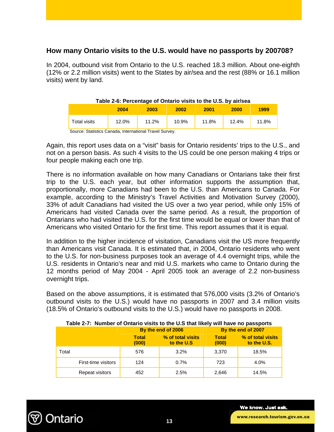## **How many Ontario visits to the U.S. would have no passports by 200708?**

In 2004, outbound visit from Ontario to the U.S. reached 18.3 million. About one-eighth (12% or 2.2 million visits) went to the States by air/sea and the rest (88% or 16.1 million visits) went by land.

| Table 2-6: Percentage of Ontario visits to the U.S. by air/sea |       |       |       |       |             |       |
|----------------------------------------------------------------|-------|-------|-------|-------|-------------|-------|
|                                                                | 2004  | 2003  | 2002  | 2001  | <b>2000</b> | 1999  |
| Total visits                                                   | 12.0% | 11.2% | 10.9% | 11.8% | 12.4%       | 11.8% |

| Table 2-6: Percentage of Ontario visits to the U.S. by air/sea |  |
|----------------------------------------------------------------|--|
|                                                                |  |

Source: Statistics Canada, International Travel Survey.

Again, this report uses data on a "visit" basis for Ontario residents' trips to the U.S., and not on a person basis. As such 4 visits to the US could be one person making 4 trips or four people making each one trip.

There is no information available on how many Canadians or Ontarians take their first trip to the U.S. each year, but other information supports the assumption that, proportionally, more Canadians had been to the U.S. than Americans to Canada. For example, according to the Ministry's Travel Activities and Motivation Survey (2000), 33% of adult Canadians had visited the US over a two year period, while only 15% of Americans had visited Canada over the same period. As a result, the proportion of Ontarians who had visited the U.S. for the first time would be equal or lower than that of Americans who visited Ontario for the first time. This report assumes that it is equal.

In addition to the higher incidence of visitation, Canadians visit the US more frequently than Americans visit Canada. It is estimated that, in 2004, Ontario residents who went to the U.S. for non-business purposes took an average of 4.4 overnight trips, while the U.S. residents in Ontario's near and mid U.S. markets who came to Ontario during the 12 months period of May 2004 - April 2005 took an average of 2.2 non-business overnight trips.

Based on the above assumptions, it is estimated that 576,000 visits (3.2% of Ontario's outbound visits to the U.S.) would have no passports in 2007 and 3.4 million visits (18.5% of Ontario's outbound visits to the U.S.) would have no passports in 2008.

|                        |                       | By the end of 2006               | By the end of 2007    |                                  |  |  |  |  |
|------------------------|-----------------------|----------------------------------|-----------------------|----------------------------------|--|--|--|--|
|                        | <b>Total</b><br>(000) | % of total visits<br>to the U.S. | <b>Total</b><br>(000) | % of total visits<br>to the U.S. |  |  |  |  |
| Total                  | 576                   | $3.2\%$                          | 3,370                 | 18.5%                            |  |  |  |  |
| First-time visitors    | 124                   | 0.7%                             | 723                   | 4.0%                             |  |  |  |  |
| <b>Repeat visitors</b> | 452                   | 2.5%                             | 2,646                 | 14.5%                            |  |  |  |  |

## **Table 2-7: Number of Ontario visits to the U.S that likely will have no passports**

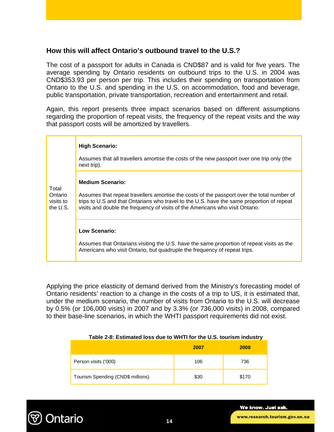## **How this will affect Ontario's outbound travel to the U.S.?**

The cost of a passport for adults in Canada is CND\$87 and is valid for five years. The average spending by Ontario residents on outbound trips to the U.S. in 2004 was CND\$353.93 per person per trip. This includes their spending on transportation from Ontario to the U.S. and spending in the U.S. on accommodation, food and beverage, public transportation, private transportation, recreation and entertainment and retail.

Again, this report presents three impact scenarios based on different assumptions regarding the proportion of repeat visits, the frequency of the repeat visits and the way that passport costs will be amortized by travellers.

| Total<br>Ontario<br>visits to<br>the U.S. | <b>High Scenario:</b><br>Assumes that all travellers amortise the costs of the new passport over one trip only (the<br>next trip).                                                                                                                                                                  |
|-------------------------------------------|-----------------------------------------------------------------------------------------------------------------------------------------------------------------------------------------------------------------------------------------------------------------------------------------------------|
|                                           | <b>Medium Scenario:</b><br>Assumes that repeat travellers amortise the costs of the passport over the total number of<br>trips to U.S and that Ontarians who travel to the U.S. have the same proportion of repeat<br>visits and double the frequency of visits of the Americans who visit Ontario. |
|                                           | Low Scenario:<br>Assumes that Ontarians visiting the U.S. have the same proportion of repeat visits as the<br>Americans who visit Ontario, but quadruple the frequency of repeat trips.                                                                                                             |

Applying the price elasticity of demand derived from the Ministry's forecasting model of Ontario residents' reaction to a change in the costs of a trip to US, it is estimated that, under the medium scenario, the number of visits from Ontario to the U.S. will decrease by 0.5% (or 106,000 visits) in 2007 and by 3.3% (or 736,000 visits) in 2008, compared to their base-line scenarios, in which the WHTI passport requirements did not exist.

| Table 2-8: Estimated loss due to WHTI for the U.S. tourism industry |  |
|---------------------------------------------------------------------|--|
|---------------------------------------------------------------------|--|

|                                   | 2007 | 2008  |  |
|-----------------------------------|------|-------|--|
| Person visits ('000)              | 106  | 736   |  |
| Tourism Spending (CND\$ millions) | \$30 | \$170 |  |

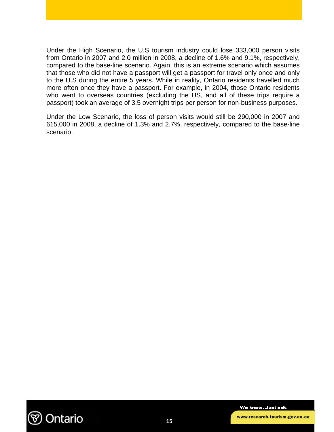Under the High Scenario, the U.S tourism industry could lose 333,000 person visits from Ontario in 2007 and 2.0 million in 2008, a decline of 1.6% and 9.1%, respectively, compared to the base-line scenario. Again, this is an extreme scenario which assumes that those who did not have a passport will get a passport for travel only once and only to the U.S during the entire 5 years. While in reality, Ontario residents travelled much more often once they have a passport. For example, in 2004, those Ontario residents who went to overseas countries (excluding the US, and all of these trips require a passport) took an average of 3.5 overnight trips per person for non-business purposes.

Under the Low Scenario, the loss of person visits would still be 290,000 in 2007 and 615,000 in 2008, a decline of 1.3% and 2.7%, respectively, compared to the base-line scenario.

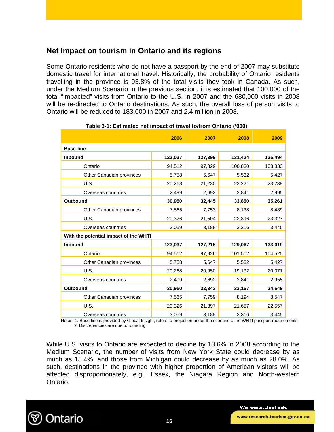## **Net Impact on tourism in Ontario and its regions**

Some Ontario residents who do not have a passport by the end of 2007 may substitute domestic travel for international travel. Historically, the probability of Ontario residents travelling in the province is 93.8% of the total visits they took in Canada. As such, under the Medium Scenario in the previous section, it is estimated that 100,000 of the total "impacted" visits from Ontario to the U.S. in 2007 and the 680,000 visits in 2008 will be re-directed to Ontario destinations. As such, the overall loss of person visits to Ontario will be reduced to 183,000 in 2007 and 2.4 million in 2008.

|                                       | 2006    | 2007    | 2008    | 2009    |  |
|---------------------------------------|---------|---------|---------|---------|--|
| <b>Base-line</b>                      |         |         |         |         |  |
| <b>Inbound</b>                        | 123,037 | 127,399 | 131,424 | 135,494 |  |
| Ontario                               | 94,512  | 97,829  | 100,830 | 103,833 |  |
| Other Canadian provinces              | 5,758   | 5,647   | 5,532   | 5,427   |  |
| U.S.                                  | 20,268  | 21,230  | 22,221  | 23,238  |  |
| Overseas countries                    | 2,499   | 2,692   | 2,841   | 2,995   |  |
| Outbound                              | 30,950  | 32,445  | 33,850  | 35,261  |  |
| Other Canadian provinces              | 7,565   | 7,753   | 8,138   | 8,489   |  |
| <b>U.S.</b>                           | 20,326  | 21,504  | 22,396  | 23,327  |  |
| Overseas countries                    | 3,059   | 3,188   | 3,316   | 3,445   |  |
| With the potential impact of the WHTI |         |         |         |         |  |
| <b>Inbound</b>                        | 123,037 | 127,216 | 129,067 | 133,019 |  |
| Ontario                               | 94,512  | 97,926  | 101,502 | 104,525 |  |
| Other Canadian provinces              | 5,758   | 5,647   | 5,532   | 5,427   |  |
| U.S.                                  | 20,268  | 20,950  | 19,192  | 20,071  |  |
| Overseas countries                    | 2,499   | 2,692   | 2,841   | 2,955   |  |
| Outbound                              | 30,950  | 32,343  | 33,167  | 34,649  |  |
| Other Canadian provinces              | 7,565   | 7,759   | 8,194   | 8,547   |  |
| U.S.                                  | 20,326  | 21,397  | 21,657  | 22,557  |  |
| Overseas countries                    | 3,059   | 3,188   | 3,316   | 3,445   |  |

#### **Table 3-1: Estimated net impact of travel to/from Ontario ('000)**

 Notes: 1. Base-line is provided by Global Insight, refers to projection under the scenario of no WHTI passport requirements. 2. Discrepancies are due to rounding

While U.S. visits to Ontario are expected to decline by 13.6% in 2008 according to the Medium Scenario, the number of visits from New York State could decrease by as much as 18.4%, and those from Michigan could decrease by as much as 28.0%. As such, destinations in the province with higher proportion of American visitors will be affected disproportionately, e.g., Essex, the Niagara Region and North-western Ontario.